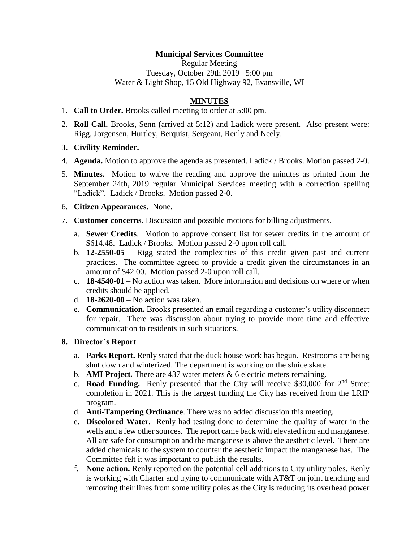## **Municipal Services Committee**

Regular Meeting Tuesday, October 29th 2019 5:00 pm Water & Light Shop, 15 Old Highway 92, Evansville, WI

## **MINUTES**

- 1. **Call to Order.** Brooks called meeting to order at 5:00 pm.
- 2. **Roll Call.** Brooks, Senn (arrived at 5:12) and Ladick were present. Also present were: Rigg, Jorgensen, Hurtley, Berquist, Sergeant, Renly and Neely.
- **3. Civility Reminder.**
- 4. **Agenda.** Motion to approve the agenda as presented. Ladick / Brooks. Motion passed 2-0.
- 5. **Minutes.** Motion to waive the reading and approve the minutes as printed from the September 24th, 2019 regular Municipal Services meeting with a correction spelling "Ladick". Ladick / Brooks. Motion passed 2-0.
- 6. **Citizen Appearances.** None.
- 7. **Customer concerns**. Discussion and possible motions for billing adjustments.
	- a. **Sewer Credits**. Motion to approve consent list for sewer credits in the amount of \$614.48. Ladick / Brooks. Motion passed 2-0 upon roll call.
	- b. **12-2550-05** Rigg stated the complexities of this credit given past and current practices. The committee agreed to provide a credit given the circumstances in an amount of \$42.00. Motion passed 2-0 upon roll call.
	- c. **18-4540-01** No action was taken. More information and decisions on where or when credits should be applied.
	- d. **18-2620-00** No action was taken.
	- e. **Communication.** Brooks presented an email regarding a customer's utility disconnect for repair. There was discussion about trying to provide more time and effective communication to residents in such situations.

#### **8. Director's Report**

- a. **Parks Report.** Renly stated that the duck house work has begun. Restrooms are being shut down and winterized. The department is working on the sluice skate.
- b. **AMI Project.** There are 437 water meters & 6 electric meters remaining.
- c. **Road Funding.** Renly presented that the City will receive \$30,000 for  $2<sup>nd</sup>$  Street completion in 2021. This is the largest funding the City has received from the LRIP program.
- d. **Anti-Tampering Ordinance**. There was no added discussion this meeting.
- e. **Discolored Water.** Renly had testing done to determine the quality of water in the wells and a few other sources. The report came back with elevated iron and manganese. All are safe for consumption and the manganese is above the aesthetic level. There are added chemicals to the system to counter the aesthetic impact the manganese has. The Committee felt it was important to publish the results.
- f. **None action.** Renly reported on the potential cell additions to City utility poles. Renly is working with Charter and trying to communicate with AT&T on joint trenching and removing their lines from some utility poles as the City is reducing its overhead power